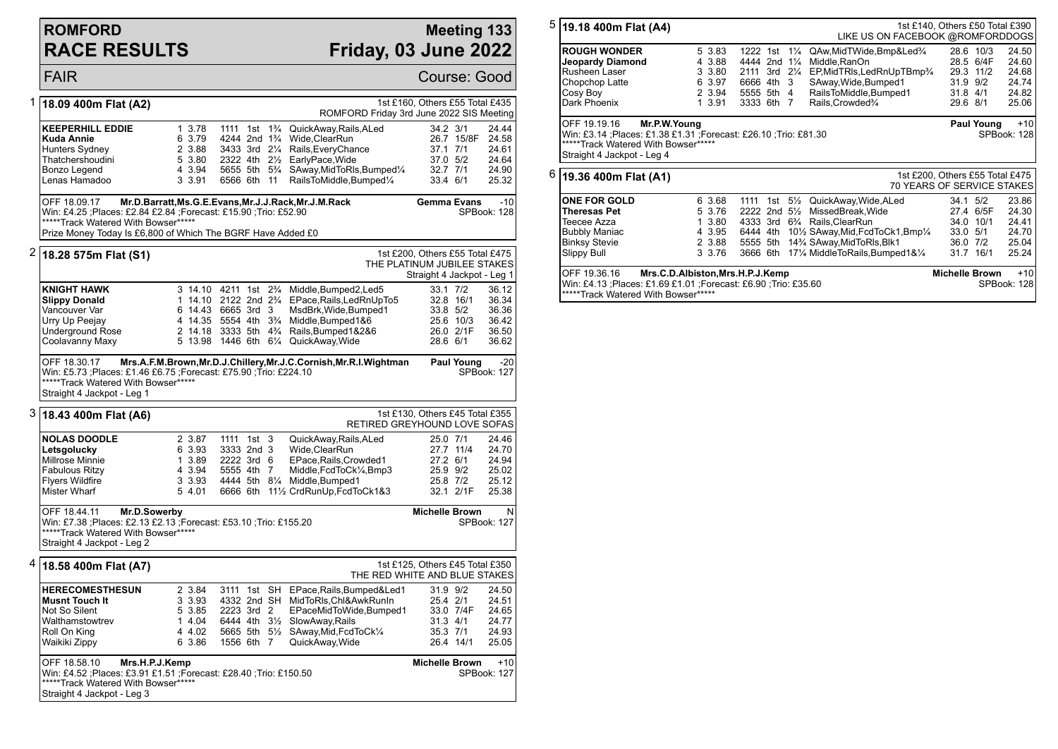## **ROMFORD RACE RESULTS**

## **Meeting 133 Friday, 03 June 2022**

**FAIR** Course: Good 1 **18.09 400m Flat (A2)** 1st £160, Others £55 Total £435 ROMFORD Friday 3rd June 2022 SIS Meeting **KEEPERHILL EDDIE** 1 3.78 1111 1st 1<sup>3</sup>/<sub>4</sub> QuickAway,Rails,ALed 34.2 3/1 24.44<br>**Kuda Annie** 6 3.79 4244 2nd 1<sup>3</sup>/<sub>4</sub> Wide.ClearRun 26.7 15/8F 24.58 **Kuda Annie** 6 3.79 4244 2nd 1¾ Wide,ClearRun 26.7 15/8F 24.58 Hunters Sydney 2 3.88 3433 3rd 21/4 Rails, EveryChance 37.1 7/1 24.61<br>
Thatchershoudini 5 3.80 2322 4th 21/<sub>2</sub> EarlyPace Wide 37.0 5/2 24.64 5 3.80 2322 4th 21/<sub>2</sub> EarlyPace, Wide Bonzo Legend **4 3.94 5655 5th 5<sup>3</sup>/<sub>4</sub> SAway, MidToRls, Bumped<sup>1</sup>/<sub>4</sub> 32.7 7/1 24.90<br>Lenas Hamadoo 3 3.91 6566 6th 11 RailsToMiddle.Bumped<sup>1</sup>/<sub>4</sub> 33.4 6/1 25.32** 3 3.91 6566 6th 11 RailsToMiddle,Bumped $\frac{1}{4}$ OFF 18.09.17 **Mr.D.Barratt,Ms.G.E.Evans,Mr.J.J.Rack,Mr.J.M.Rack** Win: £4.25 ;Places: £2.84 £2.84 ;Forecast: £15.90 ;Trio: £52.90 \*\*\*\*\*Track Watered With Bowser\*\*\*\*\* Prize Money Today Is £6,800 of Which The BGRF Have Added £0 **Gemma Evans** -10 SPBook: 128 2 **18.28 575m Flat (S1)** 1st £200, Others £55 Total £475 THE PLATINUM JUBILEE STAKES Straight 4 Jackpot - Leg 1 **KNIGHT HAWK** 3 14.10 4211 1st 2<sup>3</sup>/<sub>4</sub> Middle,Bumped2,Led5 33.1 7/2 36.12<br> **Slippy Donald** 36.34 1 14.10 2122 2nd 2<sup>3</sup>/<sub>4</sub> EPace,Rails,LedRnUpTo5 32.8 16/1 36.34 **Slippy Donald** 1 14.10 2122 2nd 2¾ EPace,Rails,LedRnUpTo5 32.8 16/1 36.34<br>Vancouver Var 6 14.43 6665 3rd 3 MsdBrk.Wide.Bumped1 33.8 5/2 36.36 Vancouver Var 6 14.43 6665 3rd 3 MsdBrk,Wide,Bumped1 33.8 5/2 36.36 Urry Up Peejay 4 14.35 5554 4th 3¾ Middle,Bumped1&6 25.6 10/3 36.42 Underground Rose 2 14.18 3333 5th 4¾ Rails,Bumped1&2&6 26.0 2/1F 36.50 5 13.98 1446 6th 6¼ QuickAway,Wide OFF 18.30.17 **Mrs.A.F.M.Brown,Mr.D.J.Chillery,Mr.J.C.Cornish,Mr.R.I.Wightman** Win: £5.73 ;Places: £1.46 £6.75 ;Forecast: £75.90 ;Trio: £224.10 \*\*\*\*\*\*Track Watered With Bowser\*\*\*\*\* Straight 4 Jackpot - Leg 1 Paul Young -20 SPBook: 127 3 **18.43 400m Flat (A6)** 1st £130, Others £45 Total £355 RETIRED GREYHOUND LOVE SOFAS **NOLAS DOODLE** 2 3.87 1111 1st 3 QuickAway,Rails,ALed 25.0 7/1 24.46<br> **Letsgolucky** 6 3.93 3333 2nd 3 Wide,ClearRun 27.7 11/4 24.70 **Letsgolucky** 6 3.93 3333 2nd 3 Wide,ClearRun 27.7 11/4 24.70<br>Millrose Minnie 1 3.89 2222 3rd 6 EPace.Rails.Crowded1 27.2 6/1 24.94 Millrose Minnie 1 3.89 2222 3rd 6 EPace,Rails,Crowded1 27.2 6/1 24.94 4 3.94 5555 4th 7 Mi Fabulous Ritzy **4 3.94 5555 4th 7 Middle, FedToCk**<sup>1</sup>/<sub>4</sub>, Bmp3<br>Fivers Wildfire 3 3.93 4444 5th 8<sup>1</sup>/<sub>4</sub> Middle. Bumped 1 Flyers Wildfire 3 3.93 4444 5th 8¼ Middle,Bumped1 25.8 7/2 25.12 5 4.01 6666 6th 11½ CrdRunUp,FcdToCk1&3 OFF 18.44.11 **Mr.D.Sowerby** Win: £7.38 ;Places: £2.13 £2.13 ;Forecast: £53.10 ;Trio: £155.20 \*\*\*\*\*Track Watered With Bowser\*\*\*\*\* Straight 4 Jackpot - Leg 2 **Michelle Brown** N SPBook: 127 4 **18.58 400m Flat (A7)** 1st £125, Others £45 Total £350 THE RED WHITE AND BLUE STAKES **HERECOMESTHESUN** 2 3.84 3111 1st SH EPace,Rails,Bumped&Led1 31.9 9/2 24.50 **Musnt Touch It** 3 3.93 4332 2nd SH MidToRls,Chl&AwkRunIn 25.4 2/1 24.51<br>Not So Silent 5 3.85 2223 3rd 2 EPaceMidToWide,Bumped1 33.0 7/4F 24.65 5 3.85 2223 3rd 2 EPaceMidToWide,Bumped1 Walthamstowtrev 1 4.04 6444 4th 3<sup>1</sup>/<sub>2</sub> SlowAway,Rails 31.3 4/1 24.77<br>Roll On King 35.3 7/1 24.93 4 4.02 5665 5th 5<sup>1</sup>/<sub>2</sub> SAway,Mid,FcdToCk<sup>1</sup>/<sub>4</sub> 35.3 7/1 24.93 Roll On King 4 4.02 5665 5th 5½ SAway,Mid,FcdToCk¼ 35.3 7/1 24.93 QuickAway,Wide OFF 18.58.10 **Mrs.H.P.J.Kemp** Win: £4.52 ;Places: £3.91 £1.51 ;Forecast: £28.40 ;Trio: £150.50 \*\*\*\*\*Track Watered With Bowser\*\*\*\*\* Straight 4 Jackpot - Leg 3 **Michelle Brown** +10 SPBook: 127

| $5\,$ $\vert$ 19.18 400m Flat (A4)<br>1st £140, Others £50 Total £390<br>LIKE US ON FACEBOOK @ROMFORDDOGS                                                                                         |        |                               |                                              |                       |  |  |  |
|---------------------------------------------------------------------------------------------------------------------------------------------------------------------------------------------------|--------|-------------------------------|----------------------------------------------|-----------------------|--|--|--|
|                                                                                                                                                                                                   |        |                               |                                              |                       |  |  |  |
| <b>ROUGH WONDER</b>                                                                                                                                                                               | 5 3.83 | 1222 1st<br>$1\frac{1}{4}$    | QAw, Mid TWide, Bmp&Led <sup>3</sup> /4      | 28.6 10/3<br>24.50    |  |  |  |
| Jeopardy Diamond                                                                                                                                                                                  | 4 3.88 | 4444 2nd 11/4                 | Middle.RanOn                                 | 28.5 6/4F<br>24.60    |  |  |  |
| Rusheen Laser                                                                                                                                                                                     | 3 3.80 | 2111 3rd<br>$2\frac{1}{4}$    | EP, MidTRIs, Led RnUpTBmp <sup>3</sup> /4    | 29.3<br>11/2<br>24.68 |  |  |  |
| Chopchop Latte                                                                                                                                                                                    | 6 3.97 | 6666 4th 3                    | SAway.Wide.Bumped1                           | 31.9 9/2<br>24.74     |  |  |  |
| Cosy Boy                                                                                                                                                                                          | 2 3.94 | 5555 5th 4                    | RailsToMiddle, Bumped1                       | 31.8<br>24.82<br>4/1  |  |  |  |
| Dark Phoenix                                                                                                                                                                                      | 1 3.91 | 3333 6th 7                    | Rails, Crowded <sup>3</sup> /4               | 29.6 8/1<br>25.06     |  |  |  |
| Mr.P.W.Young<br>OFF 19.19.16<br>Paul Young<br>Win: £3.14 ;Places: £1.38 £1.31 ;Forecast: £26.10 ;Trio: £81.30<br>SPBook: 128<br>*****Track Watered With Bowser*****<br>Straight 4 Jackpot - Leg 4 |        |                               |                                              |                       |  |  |  |
| $^6$ $\vert$ 19.36 400m Flat (A1)<br>1st £200, Others £55 Total £475<br><b>70 YEARS OF SERVICE STAKES</b>                                                                                         |        |                               |                                              |                       |  |  |  |
| <b>ONE FOR GOLD</b>                                                                                                                                                                               | 6 3.68 | 1111<br>$5\frac{1}{2}$<br>1st | QuickAway, Wide, ALed                        | 23.86<br>34.1 5/2     |  |  |  |
| Theresas Pet                                                                                                                                                                                      | 5 3.76 | 2nd $5\frac{1}{2}$<br>2222    | MissedBreak, Wide                            | 24.30<br>27.4 6/5F    |  |  |  |
| Teecee Azza                                                                                                                                                                                       | 1 3.80 | 4333 3rd                      | 6 <sup>3</sup> / <sub>4</sub> Rails.ClearRun | 34.0<br>10/1<br>24.41 |  |  |  |
| <b>Bubbly Maniac</b>                                                                                                                                                                              | 4 3.95 | 6444<br>4th                   | 101/2 SAway, Mid, FcdToCk1, Bmp1/4           | 33.0<br>24.70<br>5/1  |  |  |  |
| <b>Binksy Stevie</b>                                                                                                                                                                              | 2 3.88 | 5555 5th                      | 14% SAway, Mid To RIs, Blk1                  | 25.04<br>36.0<br>7/2  |  |  |  |
| Slippy Bull                                                                                                                                                                                       | 3 3.76 | 3666 6th                      | 171/4 MiddleToRails, Bumped 1&1/4            | 31.7 16/1<br>25.24    |  |  |  |

OFF 19.36.16 **Mrs.C.D.Albiston,Mrs.H.P.J.Kemp** Win: £4.13 ;Places: £1.69 £1.01 ;Forecast: £6.90 ;Trio: £35.60 \*\*\*\*\*Track Watered With Bowser\*\*\*\*\*\* **Michelle Brown** +10 SPBook: 128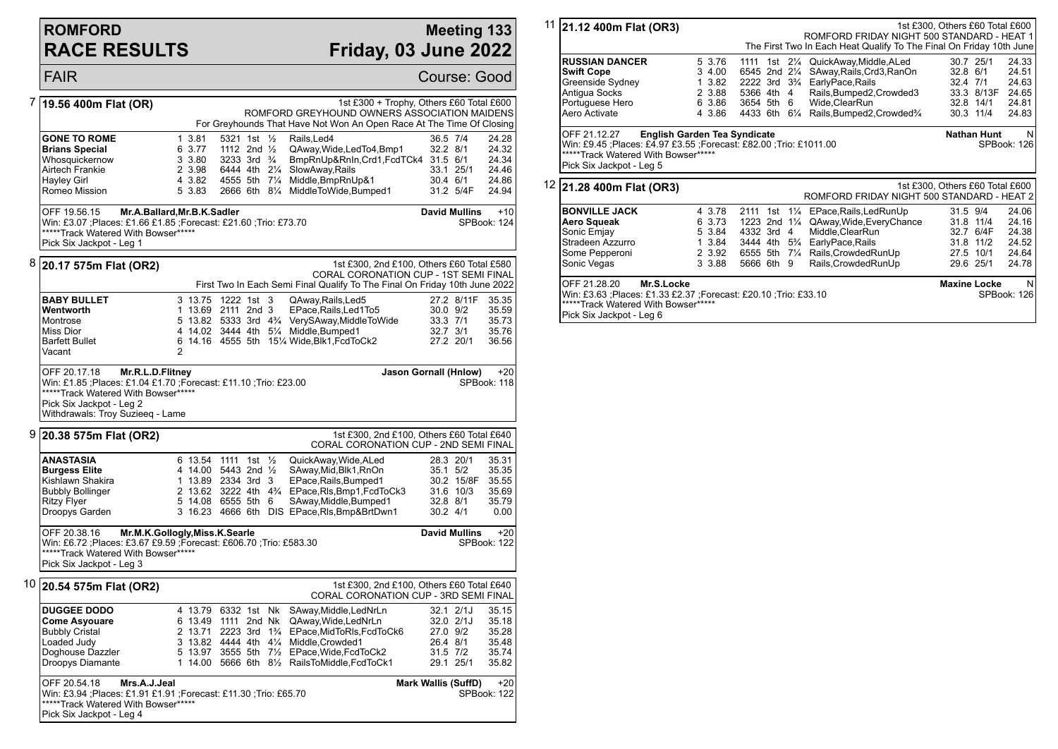## **ROMFORD RACE RESULTS**

### **Meeting 133 Friday, 03 June 2022**

FAIR Course: Good 7 **19.56 400m Flat (OR)** 1st £300 + Trophy, Others £60 Total £600 ROMFORD GREYHOUND OWNERS ASSOCIATION MAIDENS For Greyhounds That Have Not Won An Open Race At The Time Of Closing **GONE TO ROME** 1 3.81 5321 1st 1/<sub>2</sub> Rails, Led 4 36.5 7/4 24.28<br> **Brians Special** 6 3.77 1112 2nd 1/<sub>2</sub> OAway Wide Led To 4.Bmp 1 32.2 8/1 24.32 **Brians Special** 6 3.77 1112 2nd ½ QAway, Wide, Led To 4, Bmp1 32.2 8/1 24.32<br>
Whosquickernow 3 3.80 3233 3rd ¾ BmpRnUp&RnIn.Crd1.FcdTCk4 31.5 6/1 24.34 Whosquickernow 3 3.80 3233 3rd ¾ BmpRnUp&RnIn,Crd1,FcdTCk4 31.5 6/1 24.34 Airtech Frankie 2 3.98 6444 4th 2¼ SlowAway,Rails 33.1 25/1 24.46 Hayley Girl 4 3.82 4555 5th 7¼ Middle,BmpRnUp&1 30.4 6/1 24.86 5 3.83 2666 6th 8¼ MiddleToWide,Bumped1 OFF 19.56.15 **Mr.A.Ballard,Mr.B.K.Sadler** Win: £3.07 ;Places: £1.66 £1.85 ;Forecast: £21.60 ;Trio: £73.70 \*\*\*\*\*Track Watered With Bowser\*\*\*\*\* Pick Six Jackpot - Leg 1 **David Mullins** +10 SPBook: 124 8 **20.17 575m Flat (OR2)** 1st £300, 2nd £100, Others £60 Total £580 CORAL CORONATION CUP - 1ST SEMI FINAL First Two In Each Semi Final Qualify To The Final On Friday 10th June 2022 **BABY BULLET** 35.35 313.75 1222 1st 3 QAway,Rails,Led5 27.2 8/11F 35.35<br> **Wentworth** 35.59 2111 2nd 3 EPace,Rails,Led1To5 30.0 9/2 35.59 **Wentworth** 1 13.69 2111 2nd 3 EPace,Rails,Led1To5 30.0 9/2 35.59<br>Montrose 5 13.82 5333 3rd 4% VervSAwav.MiddleToWide 33.3 7/1 35.73 Montrose 5 13.82 5333 3rd 4¾ VerySAway,MiddleToWide 33.3 7/1 35.73 Miss Dior 4 14.02 3444 4th 51/4 Middle, Bumped1 32.7 3/1 3.<br>Barfett Bullet 6 14.16 4555 5th 151/4 Wide. Blk1. FcdToCk2 Barfett Bullet 6 14.16 4555 5th 15¼ Wide,Blk1,FcdToCk2 27.2 20/1 36.56 Vacant 2 OFF 20.17.18 **Mr.R.L.D.Flitney** Win: £1.85 ;Places: £1.04 £1.70 ;Forecast: £11.10 ;Trio: £23.00 \*\*\*\*\*Track Watered With Bowser\*\*\*\*\* Pick Six Jackpot - Leg 2 Withdrawals: Troy Suzieeq - Lame **Jason Gornall (Hnlow)** +20 SPBook: 118 9 **20.38 575m Flat (OR2)** 1st £300, 2nd £100, Others £60 Total £640 CORAL CORONATION CUP - 2ND SEMI FINAL **ANASTASIA** 6 13.54 1111 1st ½ QuickAway,Wide,ALed 28.3 20/1 35.31<br> **Burgess Elite** 4 14.00 5443 2nd ½ SAway,Mid,Blk1,RnOn 35.1 5/2 35.35 **Burgess Elite** 4 14.00 5443 2nd ½ SAway,Mid,Blk1,RnOn 35.1 5/2 35.35<br>Kishlawn Shakira 1 13.89 2334 3rd 3 EPace.Rails.Bumped1 30.2 15/8F 35.55 Kishlawn Shakira 1 13.89 2334 3rd 3 EPace,Rails,Bumped1 30.2 15/8F 35.55 2 13.62 3222 4th 4¼ EPace,Rls,Bmp1,FcdToCk3 31.6 10/3 35.69 Ritzy Flyer 5 14.08 6555 5th 6 SAway, Middle, Bumped 1 32.8 8/1 35.79<br>Droopys Garden 3 16.23 4666 6th DIS EPace, RIs, Bmp&BrtDwn 1 30.2 4/1 0.00 3 16.23 4666 6th DIS EPace,Rls,Bmp&BrtDwn1 30.2 4/1 0.00 OFF 20.38.16 **Mr.M.K.Gollogly,Miss.K.Searle** Win: £6.72 ;Places: £3.67 £9.59 ;Forecast: £606.70 ;Trio: £583.30 \*\*\*\*\*Track Watered With Bowser\*\*\*\*\* Pick Six Jackpot - Leg 3 **David Mullins** +20 SPBook: 122 10 **20.54 575m Flat (OR2)** 1st £300, 2nd £100, Others £60 Total £640 CORAL CORONATION CUP - 3RD SEMI FINAL **DUGGEE DODO** 4 13.79 6332 1st Nk SAway, Middle, LedNrLn 32.1 2/1J 35.15 **Come Asyouare** 6 13.49 1111 2nd Nk QAway, Wide, LedNrLn 32.0 2/1J 35.18<br>Bubbly Cristal **2 13.71 2223** 3rd 1<sup>3</sup>/<sub>4</sub> EPace, MidToRIs, FcdToCk6 27.0 9/2 35.28 Bubbly Cristal 2 13.71 2223 3rd 1¾ EPace,MidToRls,FcdToCk6 27.0 9/2 35.28 Loaded Judy 3 13.82 4444 4th 41/4 Middle,Crowded1 26.4 8/1 35.48<br>Doghouse Dazzler 3 5 13.97 3555 5th 71/2 EPace, Wide, FcdToCk2 31.5 7/2 35.74 Doghouse Dazzler 5 13.97 3555 5th 7½ EPace,Wide,FcdToCk2 31.5 7/2 35.74 1 14.00 5666 6th 81/<sub>2</sub> RailsToMiddle,FcdToCk1 OFF 20.54.18 **Mrs.A.J.Jeal** Win: £3.94 ;Places: £1.91 £1.91 ;Forecast: £11.30 ;Trio: £65.70 \*\*\*\*\*Track Watered With Bowser\*\*\*\*\* Pick Six Jackpot - Leg 4 **Mark Wallis (SuffD)** +20 SPBook: 122

| 11 21.12 400m Flat (OR3)                                          |                  |                         |                | ROMFORD FRIDAY NIGHT 500 STANDARD - HEAT 1                          | 1st £300, Others £60 Total £600 |                        |                |
|-------------------------------------------------------------------|------------------|-------------------------|----------------|---------------------------------------------------------------------|---------------------------------|------------------------|----------------|
|                                                                   |                  |                         |                | The First Two In Each Heat Qualify To The Final On Friday 10th June |                                 |                        |                |
| <b>RUSSIAN DANCER</b>                                             | 5 3.76           | 1111<br>1st             |                | 21/ <sub>4</sub> QuickAway, Middle, ALed                            |                                 | 30.7 25/1              | 24.33          |
| <b>Swift Cope</b>                                                 | 3 4.00           | 6545 2nd 2¼             |                | SAway,Rails,Crd3,RanOn                                              |                                 | 32.8 6/1               | 24.51          |
| Greenside Sydney                                                  | 1 3.82           |                         |                | 2222 3rd 3 <sup>3</sup> / <sub>4</sub> EarlyPace, Rails             | 32.4 7/1                        |                        | 24.63          |
| Antigua Socks                                                     | 2 3.88           | 5366 4th 4              |                | Rails, Bumped 2, Crowded 3                                          |                                 | 33.3 8/13F             | 24.65          |
| Portuguese Hero                                                   | 6 3.86           | 3654 5th                | 6              | Wide, ClearRun                                                      |                                 | 32.8 14/1              | 24.81          |
| Aero Activate                                                     | 4 3.86           | 4433 6th 61/4           |                | Rails, Bumped 2, Crowded 3/4                                        |                                 | 30.3 11/4              | 24.83          |
| Win: £9.45 ;Places: £4.97 £3.55 ;Forecast: £82.00 ;Trio: £1011.00 |                  |                         |                |                                                                     |                                 | SPBook: 126            |                |
| *****Track Watered With Bowser*****<br>Pick Six Jackpot - Leg 5   |                  |                         |                |                                                                     | 1st £300, Others £60 Total £600 |                        |                |
|                                                                   |                  |                         |                | ROMFORD FRIDAY NIGHT 500 STANDARD - HEAT 2                          |                                 |                        |                |
| <b>BONVILLE JACK</b>                                              | 4 3.78           | 2111 1st                | $1\frac{1}{4}$ | EPace, Rails, Led RunUp                                             | 31.5 9/4                        |                        | 24.06          |
| 12 21.28 400m Flat (OR3)<br>Aero Squeak                           | 6 3.73           | 1223 2nd $1\frac{1}{4}$ |                | QAway,Wide,EveryChance                                              |                                 | 31.8 11/4              | 24.16          |
| Sonic Emjay                                                       | 5 3.84           | 4332 3rd                | 4              | Middle, ClearRun                                                    |                                 | 32.7 6/4F              |                |
| Stradeen Azzurro                                                  | 1 3.84           | 3444 4th                | $5\frac{3}{4}$ | EarlyPace, Rails                                                    |                                 | 31.8 11/2              | 24.38<br>24.52 |
| Some Pepperoni<br>Sonic Vegas                                     | 2 3.92<br>3 3.88 | 5666 6th 9              |                | 6555 5th 71/4 Rails, Crowded RunUp<br>Rails, Crowded RunUp          |                                 | 27.5 10/1<br>29.6 25/1 | 24.64<br>24.78 |

Pick Six Jackpot - Leg 6